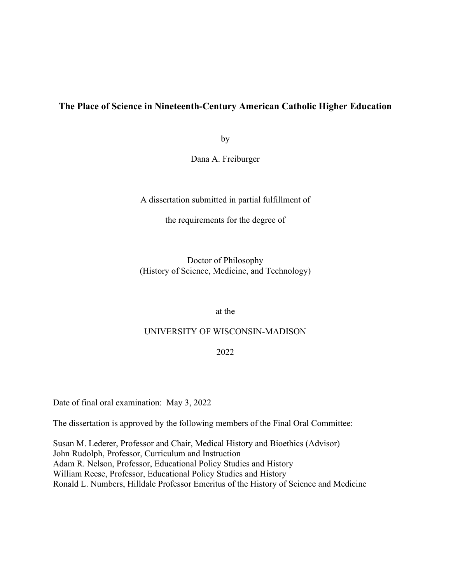### **The Place of Science in Nineteenth-Century American Catholic Higher Education**

by

Dana A. Freiburger

A dissertation submitted in partial fulfillment of

the requirements for the degree of

Doctor of Philosophy (History of Science, Medicine, and Technology)

at the

#### UNIVERSITY OF WISCONSIN-MADISON

#### 2022

Date of final oral examination: May 3, 2022

The dissertation is approved by the following members of the Final Oral Committee:

Susan M. Lederer, Professor and Chair, Medical History and Bioethics (Advisor) John Rudolph, Professor, Curriculum and Instruction Adam R. Nelson, Professor, Educational Policy Studies and History William Reese, Professor, Educational Policy Studies and History Ronald L. Numbers, Hilldale Professor Emeritus of the History of Science and Medicine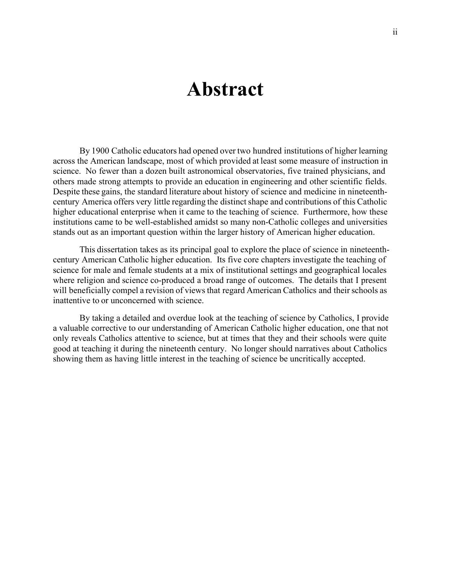## **Abstract**

By 1900 Catholic educators had opened over two hundred institutions of higher learning across the American landscape, most of which provided at least some measure of instruction in science. No fewer than a dozen built astronomical observatories, five trained physicians, and others made strong attempts to provide an education in engineering and other scientific fields. Despite these gains, the standard literature about history of science and medicine in nineteenthcentury America offers very little regarding the distinctshape and contributions of this Catholic higher educational enterprise when it came to the teaching of science. Furthermore, how these institutions came to be well-established amidst so many non-Catholic colleges and universities stands out as an important question within the larger history of American higher education.

This dissertation takes as its principal goal to explore the place of science in nineteenthcentury American Catholic higher education. Its five core chapters investigate the teaching of science for male and female students at a mix of institutional settings and geographical locales where religion and science co-produced a broad range of outcomes. The details that I present will beneficially compel a revision of views that regard American Catholics and their schools as inattentive to or unconcerned with science.

By taking a detailed and overdue look at the teaching of science by Catholics, I provide a valuable corrective to our understanding of American Catholic higher education, one that not only reveals Catholics attentive to science, but at times that they and their schools were quite good at teaching it during the nineteenth century. No longer should narratives about Catholics showing them as having little interest in the teaching of science be uncritically accepted.